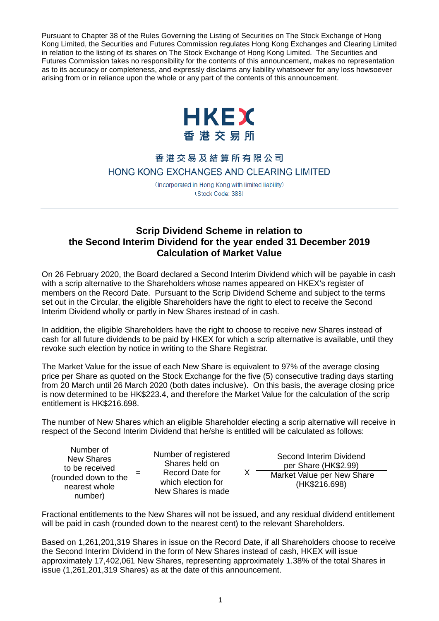Pursuant to Chapter 38 of the Rules Governing the Listing of Securities on The Stock Exchange of Hong Kong Limited, the Securities and Futures Commission regulates Hong Kong Exchanges and Clearing Limited in relation to the listing of its shares on The Stock Exchange of Hong Kong Limited. The Securities and Futures Commission takes no responsibility for the contents of this announcement, makes no representation as to its accuracy or completeness, and expressly disclaims any liability whatsoever for any loss howsoever arising from or in reliance upon the whole or any part of the contents of this announcement.



## 香港交易及結算所有限公司 HONG KONG EXCHANGES AND CLEARING LIMITED

(Incorporated in Hong Kong with limited liability) (Stock Code: 388)

## **Scrip Dividend Scheme in relation to the Second Interim Dividend for the year ended 31 December 2019 Calculation of Market Value**

On 26 February 2020, the Board declared a Second Interim Dividend which will be payable in cash with a scrip alternative to the Shareholders whose names appeared on HKEX's register of members on the Record Date. Pursuant to the Scrip Dividend Scheme and subject to the terms set out in the Circular, the eligible Shareholders have the right to elect to receive the Second Interim Dividend wholly or partly in New Shares instead of in cash.

In addition, the eligible Shareholders have the right to choose to receive new Shares instead of cash for all future dividends to be paid by HKEX for which a scrip alternative is available, until they revoke such election by notice in writing to the Share Registrar.

The Market Value for the issue of each New Share is equivalent to 97% of the average closing price per Share as quoted on the Stock Exchange for the five (5) consecutive trading days starting from 20 March until 26 March 2020 (both dates inclusive). On this basis, the average closing price is now determined to be HK\$223.4, and therefore the Market Value for the calculation of the scrip entitlement is HK\$216.698.

The number of New Shares which an eligible Shareholder electing a scrip alternative will receive in respect of the Second Interim Dividend that he/she is entitled will be calculated as follows:

 $X$ 

Number of New Shares to be received (rounded down to the nearest whole number)

=

Number of registered Shares held on Record Date for which election for New Shares is made

Second Interim Dividend per Share (HK\$2.99) Market Value per New Share (HK\$216.698)

Fractional entitlements to the New Shares will not be issued, and any residual dividend entitlement will be paid in cash (rounded down to the nearest cent) to the relevant Shareholders.

Based on 1,261,201,319 Shares in issue on the Record Date, if all Shareholders choose to receive the Second Interim Dividend in the form of New Shares instead of cash, HKEX will issue approximately 17,402,061 New Shares, representing approximately 1.38% of the total Shares in issue (1,261,201,319 Shares) as at the date of this announcement.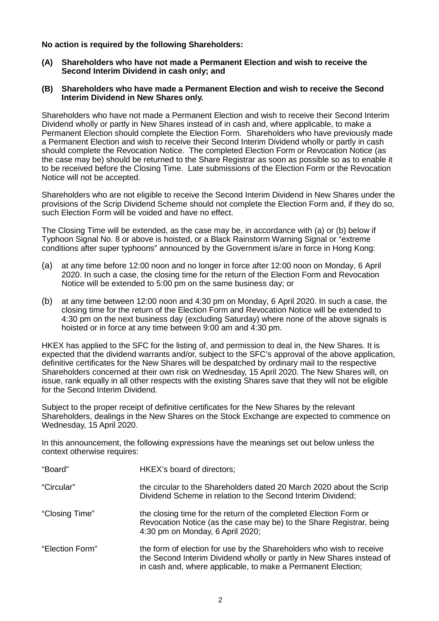**No action is required by the following Shareholders:**

**(A) Shareholders who have not made a Permanent Election and wish to receive the Second Interim Dividend in cash only; and**

## **(B) Shareholders who have made a Permanent Election and wish to receive the Second Interim Dividend in New Shares only.**

Shareholders who have not made a Permanent Election and wish to receive their Second Interim Dividend wholly or partly in New Shares instead of in cash and, where applicable, to make a Permanent Election should complete the Election Form. Shareholders who have previously made a Permanent Election and wish to receive their Second Interim Dividend wholly or partly in cash should complete the Revocation Notice. The completed Election Form or Revocation Notice (as the case may be) should be returned to the Share Registrar as soon as possible so as to enable it to be received before the Closing Time. Late submissions of the Election Form or the Revocation Notice will not be accepted.

Shareholders who are not eligible to receive the Second Interim Dividend in New Shares under the provisions of the Scrip Dividend Scheme should not complete the Election Form and, if they do so, such Election Form will be voided and have no effect.

The Closing Time will be extended, as the case may be, in accordance with (a) or (b) below if Typhoon Signal No. 8 or above is hoisted, or a Black Rainstorm Warning Signal or "extreme conditions after super typhoons" announced by the Government is/are in force in Hong Kong:

- (a) at any time before 12:00 noon and no longer in force after 12:00 noon on Monday, 6 April 2020. In such a case, the closing time for the return of the Election Form and Revocation Notice will be extended to 5:00 pm on the same business day; or
- (b) at any time between 12:00 noon and 4:30 pm on Monday, 6 April 2020. In such a case, the closing time for the return of the Election Form and Revocation Notice will be extended to 4:30 pm on the next business day (excluding Saturday) where none of the above signals is hoisted or in force at any time between 9:00 am and 4:30 pm.

HKEX has applied to the SFC for the listing of, and permission to deal in, the New Shares. It is expected that the dividend warrants and/or, subject to the SFC's approval of the above application, definitive certificates for the New Shares will be despatched by ordinary mail to the respective Shareholders concerned at their own risk on Wednesday, 15 April 2020. The New Shares will, on issue, rank equally in all other respects with the existing Shares save that they will not be eligible for the Second Interim Dividend.

Subject to the proper receipt of definitive certificates for the New Shares by the relevant Shareholders, dealings in the New Shares on the Stock Exchange are expected to commence on Wednesday, 15 April 2020.

In this announcement, the following expressions have the meanings set out below unless the context otherwise requires:

| "Board"         | HKEX's board of directors;                                                                                                                                                                                    |
|-----------------|---------------------------------------------------------------------------------------------------------------------------------------------------------------------------------------------------------------|
| "Circular"      | the circular to the Shareholders dated 20 March 2020 about the Scrip<br>Dividend Scheme in relation to the Second Interim Dividend;                                                                           |
| "Closing Time"  | the closing time for the return of the completed Election Form or<br>Revocation Notice (as the case may be) to the Share Registrar, being<br>4:30 pm on Monday, 6 April 2020;                                 |
| "Election Form" | the form of election for use by the Shareholders who wish to receive<br>the Second Interim Dividend wholly or partly in New Shares instead of<br>in cash and, where applicable, to make a Permanent Election; |